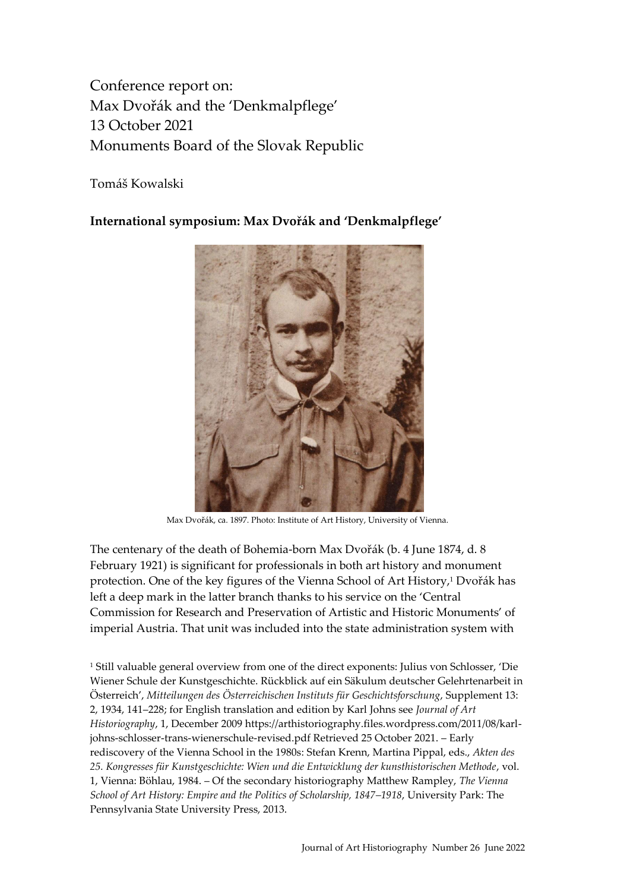Conference report on: Max Dvořák and the 'Denkmalpflege' 13 October 2021 Monuments Board of the Slovak Republic

Tomáš Kowalski

**International symposium: Max Dvořák and 'Denkmalpflege'**



Max Dvořák, ca. 1897. Photo: Institute of Art History, University of Vienna.

The centenary of the death of Bohemia-born Max Dvořák (b. 4 June 1874, d. 8 February 1921) is significant for professionals in both art history and monument protection. One of the key figures of the Vienna School of Art History, <sup>1</sup> Dvořák has left a deep mark in the latter branch thanks to his service on the 'Central Commission for Research and Preservation of Artistic and Historic Monuments' of imperial Austria. That unit was included into the state administration system with

<sup>1</sup> Still valuable general overview from one of the direct exponents: Julius von Schlosser, 'Die Wiener Schule der Kunstgeschichte. Rückblick auf ein Säkulum deutscher Gelehrtenarbeit in Österreich', *Mitteilungen des Österreichischen Instituts für Geschichtsforschung*, Supplement 13: 2, 1934, 141–228; for English translation and edition by Karl Johns see *Journal of Art Historiography*, 1, December 200[9 https://arthistoriography.files.wordpress.com/2011/08/karl](https://arthistoriography.files.wordpress.com/2011/08/karl-johns-schlosser-trans-wienerschule-revised.pdf)[johns-schlosser-trans-wienerschule-revised.pdf](https://arthistoriography.files.wordpress.com/2011/08/karl-johns-schlosser-trans-wienerschule-revised.pdf) Retrieved 25 October 2021. – Early rediscovery of the Vienna School in the 1980s: Stefan Krenn, Martina Pippal, eds., *Akten des 25. Kongresses für Kunstgeschichte: Wien und die Entwicklung der kunsthistorischen Methode*, vol. 1, Vienna: Böhlau, 1984. – Of the secondary historiography Matthew Rampley, *The Vienna School of Art History: Empire and the Politics of Scholarship, 1847–1918*, University Park: The Pennsylvania State University Press, 2013.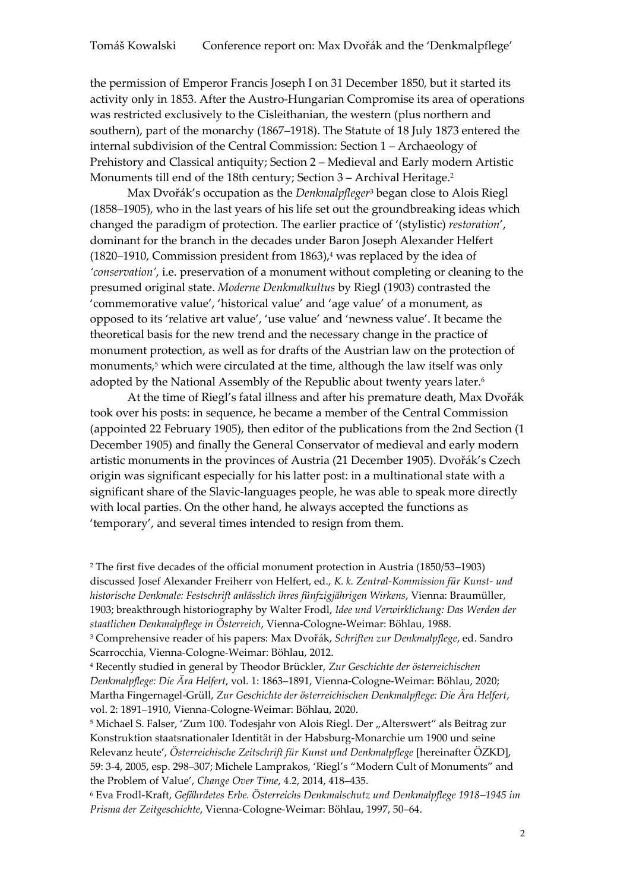the permission of Emperor Francis Joseph I on 31 December 1850, but it started its activity only in 1853. After the Austro-Hungarian Compromise its area of operations was restricted exclusively to the Cisleithanian, the western (plus northern and southern), part of the monarchy (1867–1918). The Statute of 18 July 1873 entered the internal subdivision of the Central Commission: Section 1 – Archaeology of Prehistory and Classical antiquity; Section 2 – Medieval and Early modern Artistic Monuments till end of the 18th century; Section 3 – Archival Heritage.<sup>2</sup>

Max Dvořák's occupation as the *Denkmalpfleger*<sup>3</sup> began close to Alois Riegl (1858–1905), who in the last years of his life set out the groundbreaking ideas which changed the paradigm of protection. The earlier practice of '(stylistic) *restoration*', dominant for the branch in the decades under Baron Joseph Alexander Helfert (1820–1910, Commission president from  $1863$ ),<sup>4</sup> was replaced by the idea of *'conservation'*, i.e. preservation of a monument without completing or cleaning to the presumed original state. *Moderne Denkmalkultus* by Riegl (1903) contrasted the 'commemorative value', 'historical value' and 'age value' of a monument, as opposed to its 'relative art value', 'use value' and 'newness value'. It became the theoretical basis for the new trend and the necessary change in the practice of monument protection, as well as for drafts of the Austrian law on the protection of monuments,<sup>5</sup> which were circulated at the time, although the law itself was only adopted by the National Assembly of the Republic about twenty years later.<sup>6</sup>

At the time of Riegl's fatal illness and after his premature death, Max Dvořák took over his posts: in sequence, he became a member of the Central Commission (appointed 22 February 1905), then editor of the publications from the 2nd Section (1 December 1905) and finally the General Conservator of medieval and early modern artistic monuments in the provinces of Austria (21 December 1905). Dvořák's Czech origin was significant especially for his latter post: in a multinational state with a significant share of the Slavic-languages people, he was able to speak more directly with local parties. On the other hand, he always accepted the functions as 'temporary', and several times intended to resign from them.

<sup>5</sup> Michael S. Falser, 'Zum 100. Todesjahr von Alois Riegl. Der "Alterswert" als Beitrag zur Konstruktion staatsnationaler Identität in der Habsburg-Monarchie um 1900 und seine Relevanz heute', *Österreichische Zeitschrift für Kunst und Denkmalpflege* [hereinafter ÖZKD], [59: 3-4, 2005, esp. 298](https://www.academia.edu/11366295/Zum_100_Todesjahr_von_Alois_Riegl_Der_Alterswert_als_Beitrag_zur_Konstruktion_staatsnationaler_Identit%C3%A4t_in_der_Habsburg_Monarchie_um_1900_und_seine_Relevanz_heute_In_%C3%96sterreichische_Zeitschrift_f%C3%BCr_Kunst_und_Denkmalpflege_LIX_3_4_2005_vol_3_4_298_311)–307; Michele Lamprakos, 'Riegl's "Modern Cult of Monuments" and the Problem of Value', *Change Over Time*, 4.2, 2014, 418–435.

<sup>6</sup> Eva Frodl-Kraft, *Gefährdetes Erbe. Österreichs Denkmalschutz und Denkmalpflege 1918–1945 im Prisma der Zeitgeschichte*, Vienna-Cologne-Weimar: Böhlau, 1997, 50–64.

<sup>2</sup> The first five decades of the official monument protection in Austria (1850/53–1903) discussed Josef Alexander Freiherr von Helfert, ed., *K. k. Zentral-Kommission für Kunst- und historische Denkmale: Festschrift anlässlich ihres fünfzigjährigen Wirkens*, Vienna: Braumüller, 1903; breakthrough historiography by Walter Frodl, *Idee und Verwirklichung: Das Werden der staatlichen Denkmalpflege in Österreich*, Vienna-Cologne-Weimar: Böhlau, 1988.

<sup>3</sup> Comprehensive reader of his papers: Max Dvořák, *Schriften zur Denkmalpflege*, ed. Sandro Scarrocchia, Vienna-Cologne-Weimar: Böhlau, 2012.

<sup>4</sup> Recently studied in general by Theodor Brückler, *Zur Geschichte der österreichischen Denkmalpflege: Die Ära Helfert*, vol. 1: 1863–1891, Vienna-Cologne-Weimar: Böhlau, 2020; Martha Fingernagel-Grüll, *Zur Geschichte der österreichischen Denkmalpflege: Die Ära Helfert*, vol. 2: 1891–1910, Vienna-Cologne-Weimar: Böhlau, 2020.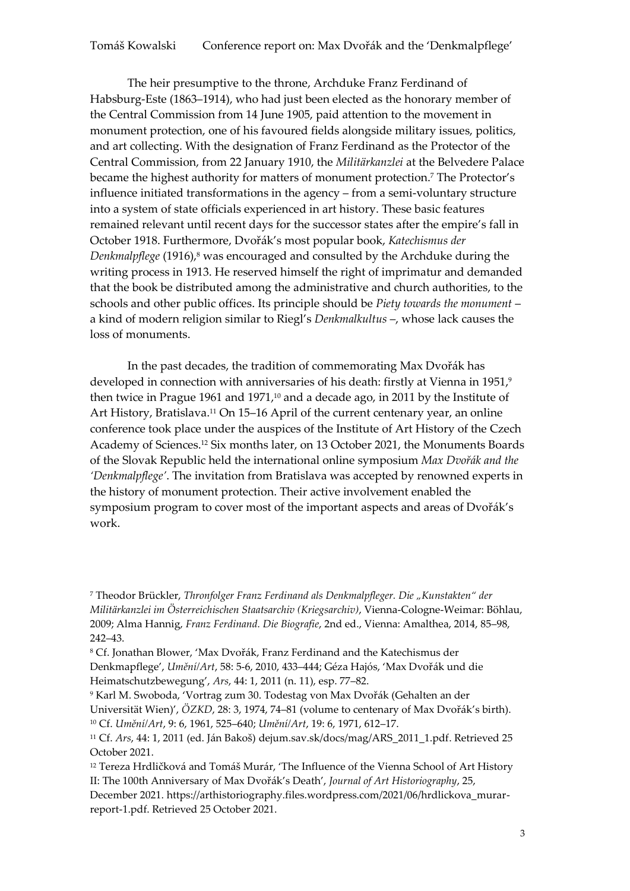The heir presumptive to the throne, Archduke Franz Ferdinand of Habsburg-Este (1863–1914), who had just been elected as the honorary member of the Central Commission from 14 June 1905, paid attention to the movement in monument protection, one of his favoured fields alongside military issues, politics, and art collecting. With the designation of Franz Ferdinand as the Protector of the Central Commission, from 22 January 1910, the *Militärkanzlei* at the Belvedere Palace became the highest authority for matters of monument protection. <sup>7</sup> The Protector's influence initiated transformations in the agency – from a semi-voluntary structure into a system of state officials experienced in art history. These basic features remained relevant until recent days for the successor states after the empire's fall in October 1918. Furthermore, Dvořák's most popular book, *Katechismus der Denkmalpflege* (1916),<sup>8</sup> was encouraged and consulted by the Archduke during the writing process in 1913. He reserved himself the right of imprimatur and demanded that the book be distributed among the administrative and church authorities, to the schools and other public offices. Its principle should be *Piety towards the monument* – a kind of modern religion similar to Riegl's *Denkmalkultus* –, whose lack causes the loss of monuments.

In the past decades, the tradition of commemorating Max Dvořák has developed in connection with anniversaries of his death: firstly at Vienna in 1951, 9 then twice in Prague 1961 and 1971, <sup>10</sup> and a decade ago, in 2011 by the Institute of Art History, Bratislava. <sup>11</sup> On 15–16 April of the current centenary year, an online conference took place under the auspices of the Institute of Art History of the Czech Academy of Sciences. <sup>12</sup> Six months later, on 13 October 2021, the Monuments Boards of the Slovak Republic held the international online symposium *Max Dvořák and the 'Denkmalpflege'*. The invitation from Bratislava was accepted by renowned experts in the history of monument protection. Their active involvement enabled the symposium program to cover most of the important aspects and areas of Dvořák's work.

<sup>&</sup>lt;sup>7</sup> Theodor Brückler, *Thronfolger Franz Ferdinand als Denkmalpfleger*. Die "Kunstakten" der *Militärkanzlei im Österreichischen Staatsarchiv (Kriegsarchiv)*, Vienna-Cologne-Weimar: Böhlau, 2009; Alma Hannig, *Franz Ferdinand. Die Biografie*, 2nd ed., Vienna: Amalthea, 2014, 85–98, 242–43.

<sup>8</sup> Cf. Jonathan Blower, 'Max Dvořák, Franz Ferdinand and the Katechismus der Denkmapflege', *Umění/Art*, 58: 5-6, 2010, 433–444; Géza Hajós, 'Max Dvořák und die Heimatschutzbewegung', *Ars*, 44: 1, 2011 (n. 11), esp. 77–82.

<sup>9</sup> Karl M. Swoboda, 'Vortrag zum 30. Todestag von Max Dvořák (Gehalten an der Universität Wien)', *ÖZKD*, 28: 3, 1974, 74–81 (volume to centenary of Max Dvořák's birth). <sup>10</sup> Cf. *Umění/Art*, 9: 6, 1961, 525–640; *Umění/Art*, 19: 6, 1971, 612–17.

<sup>11</sup> Cf. *Ars*, 44: 1, 2011 (ed. Ján Bakoš) [dejum.sav.sk/docs/mag/ARS\\_2011\\_1.pdf.](http://dejum.sav.sk/docs/mag/ARS_2011_1.pdf) Retrieved 25 October 2021.

<sup>&</sup>lt;sup>12</sup> Tereza Hrdličková and Tomáš Murár, 'The Influence of the Vienna School of Art History II: The 100th Anniversary of Max Dvořák's Death', *Journal of Art Historiography*, 25,

December 2021. [https://arthistoriography.files.wordpress.com/2021/06/hrdlickova\\_murar](https://arthistoriography.files.wordpress.com/2021/06/hrdlickova_murar-report-1.pdf)[report-1.pdf.](https://arthistoriography.files.wordpress.com/2021/06/hrdlickova_murar-report-1.pdf) Retrieved 25 October 2021.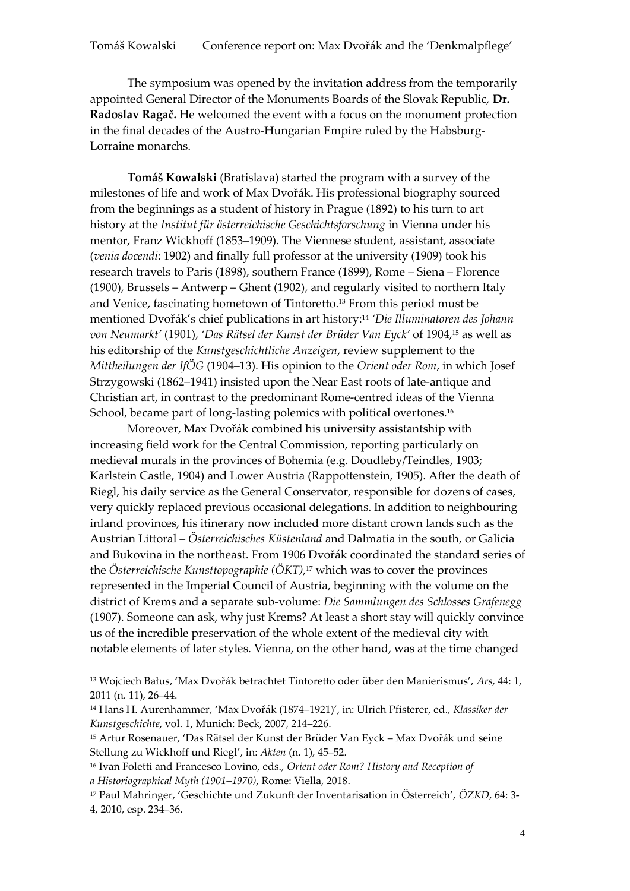The symposium was opened by the invitation address from the temporarily appointed General Director of the Monuments Boards of the Slovak Republic, **Dr. Radoslav Ragač.** He welcomed the event with a focus on the monument protection in the final decades of the Austro-Hungarian Empire ruled by the Habsburg-Lorraine monarchs.

**Tomáš Kowalski** (Bratislava) started the program with a survey of the milestones of life and work of Max Dvořák. His professional biography sourced from the beginnings as a student of history in Prague (1892) to his turn to art history at the *Institut für österreichische Geschichtsforschung* in Vienna under his mentor, Franz Wickhoff (1853–1909). The Viennese student, assistant, associate (*venia docendi*: 1902) and finally full professor at the university (1909) took his research travels to Paris (1898), southern France (1899), Rome – Siena – Florence (1900), Brussels – Antwerp – Ghent (1902), and regularly visited to northern Italy and Venice, fascinating hometown of Tintoretto.<sup>13</sup> From this period must be mentioned Dvořák's chief publications in art history: <sup>14</sup> *'Die Illuminatoren des Johann von Neumarkt'* (1901), *'Das Rätsel der Kunst der Brüder Van Eyck'* of 1904, <sup>15</sup> as well as his editorship of the *Kunstgeschichtliche Anzeigen*, review supplement to the *Mittheilungen der IfÖG* (1904–13). His opinion to the *Orient oder Rom*, in which Josef Strzygowski (1862–1941) insisted upon the Near East roots of late-antique and Christian art, in contrast to the predominant Rome-centred ideas of the Vienna School, became part of long-lasting polemics with political overtones. 16

Moreover, Max Dvořák combined his university assistantship with increasing field work for the Central Commission, reporting particularly on medieval murals in the provinces of Bohemia (e.g. Doudleby/Teindles, 1903; Karlstein Castle, 1904) and Lower Austria (Rappottenstein, 1905). After the death of Riegl, his daily service as the General Conservator, responsible for dozens of cases, very quickly replaced previous occasional delegations. In addition to neighbouring inland provinces, his itinerary now included more distant crown lands such as the Austrian Littoral – *Österreichisches Küstenland* and Dalmatia in the south, or Galicia and Bukovina in the northeast. From 1906 Dvořák coordinated the standard series of the *Österreichische Kunsttopographie (ÖKT)*, <sup>17</sup> which was to cover the provinces represented in the Imperial Council of Austria, beginning with the volume on the district of Krems and a separate sub-volume: *Die Sammlungen des Schlosses Grafenegg* (1907). Someone can ask, why just Krems? At least a short stay will quickly convince us of the incredible preservation of the whole extent of the medieval city with notable elements of later styles. Vienna, on the other hand, was at the time changed

<sup>16</sup> Ivan Foletti and Francesco Lovino, eds., *Orient oder Rom? History and Reception of a Historiographical Myth (1901–1970)*, Rome: Viella, 2018.

<sup>13</sup> Wojciech Bałus, 'Max Dvořák betrachtet Tintoretto oder über den Manierismus', *Ars*, 44: 1, 2011 (n. 11), 26–44.

<sup>14</sup> Hans H. Aurenhammer, 'Max Dvořák (1874–1921)', in: Ulrich Pfisterer, ed., *Klassiker der Kunstgeschichte*, vol. 1, Munich: Beck, 2007, 214–226.

<sup>15</sup> Artur Rosenauer, 'Das Rätsel der Kunst der Brüder Van Eyck – Max Dvořák und seine Stellung zu Wickhoff und Riegl', in: *Akten* (n. 1), 45–52.

<sup>17</sup> Paul Mahringer, 'Geschichte und Zukunft der Inventarisation in Österreich', *ÖZKD*, 64: 3- 4, 2010, esp. 234–36.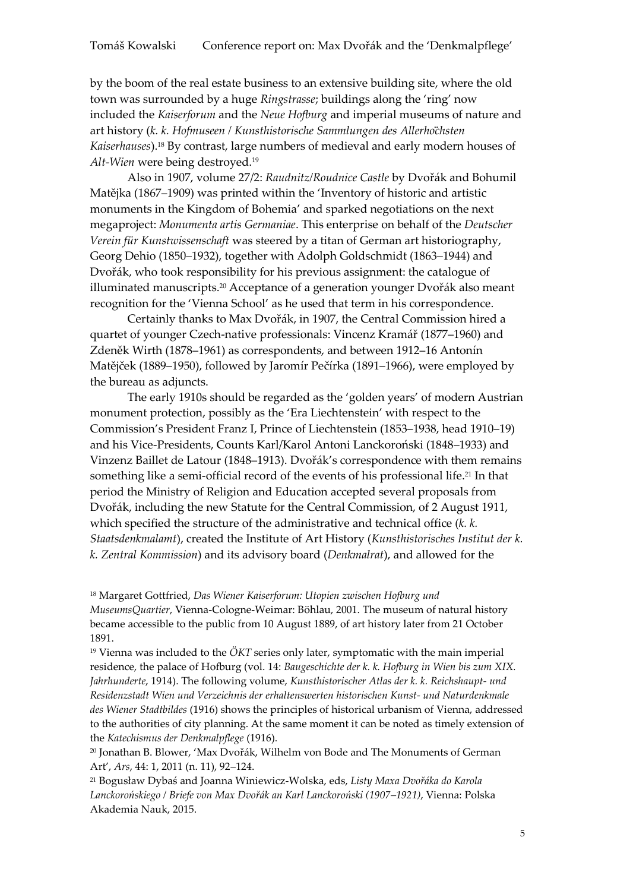by the boom of the real estate business to an extensive building site, where the old town was surrounded by a huge *Ringstrasse*; buildings along the 'ring' now included the *Kaiserforum* and the *Neue Hofburg* and imperial museums of nature and art history (k. k. Hofmuseen / Kunsthistorische Sammlungen des Allerhochsten *Kaiserhauses*). <sup>18</sup> By contrast, large numbers of medieval and early modern houses of *Alt-Wien* were being destroyed.<sup>19</sup>

Also in 1907, volume 27/2: *Raudnitz/Roudnice Castle* by Dvořák and Bohumil Matějka (1867–1909) was printed within the 'Inventory of historic and artistic monuments in the Kingdom of Bohemia' and sparked negotiations on the next megaproject: *Monumenta artis Germaniae*. This enterprise on behalf of the *Deutscher Verein für Kunstwissenschaft* was steered by a titan of German art historiography, Georg Dehio (1850–1932), together with Adolph Goldschmidt (1863–1944) and Dvořák, who took responsibility for his previous assignment: the catalogue of illuminated manuscripts. <sup>20</sup> Acceptance of a generation younger Dvořák also meant recognition for the 'Vienna School' as he used that term in his correspondence.

Certainly thanks to Max Dvořák, in 1907, the Central Commission hired a quartet of younger Czech-native professionals: Vincenz Kramář (1877–1960) and Zdeněk Wirth (1878–1961) as correspondents, and between 1912–16 Antonín Matějček (1889–1950), followed by Jaromír Pečírka (1891–1966), were employed by the bureau as adjuncts.

The early 1910s should be regarded as the 'golden years' of modern Austrian monument protection, possibly as the 'Era Liechtenstein' with respect to the Commission's President Franz I, Prince of Liechtenstein (1853–1938, head 1910–19) and his Vice-Presidents, Counts Karl/Karol Antoni Lanckoroński (1848–1933) and Vinzenz Baillet de Latour (1848–1913). Dvořák's correspondence with them remains something like a semi-official record of the events of his professional life. <sup>21</sup> In that period the Ministry of Religion and Education accepted several proposals from Dvořák, including the new Statute for the Central Commission, of 2 August 1911, which specified the structure of the administrative and technical office (*k. k. Staatsdenkmalamt*), created the Institute of Art History (*Kunsthistorisches Institut der k. k. Zentral Kommission*) and its advisory board (*Denkmalrat*), and allowed for the

<sup>18</sup> Margaret Gottfried, *Das Wiener Kaiserforum: Utopien zwischen Hofburg und MuseumsQuartier*, Vienna-Cologne-Weimar: Böhlau, 2001. The museum of natural history became accessible to the public from 10 August 1889, of art history later from 21 October 1891.

<sup>19</sup> Vienna was included to the *ÖKT* series only later, symptomatic with the main imperial residence, the palace of Hofburg (vol. 14: *Baugeschichte der k. k. Hofburg in Wien bis zum XIX. Jahrhunderte*, 1914). The following volume, *Kunsthistorischer Atlas der k. k. Reichshaupt- und Residenzstadt Wien und Verzeichnis der erhaltenswerten historischen Kunst- und Naturdenkmale des Wiener Stadtbildes* (1916) shows the principles of historical urbanism of Vienna, addressed to the authorities of city planning. At the same moment it can be noted as timely extension of the *Katechismus der Denkmalpflege* (1916).

<sup>20</sup> Jonathan B. Blower, 'Max Dvořák, Wilhelm von Bode and The Monuments of German Art', *Ars*, 44: 1, 2011 (n. 11), 92–124.

<sup>21</sup> Bogusław Dybaś and Joanna Winiewicz-Wolska, eds, *Listy Maxa Dvořáka do Karola Lanckorońskiego / Briefe von Max Dvořák an Karl Lanckoroński (1907–1921)*, Vienna: Polska Akademia Nauk, 2015.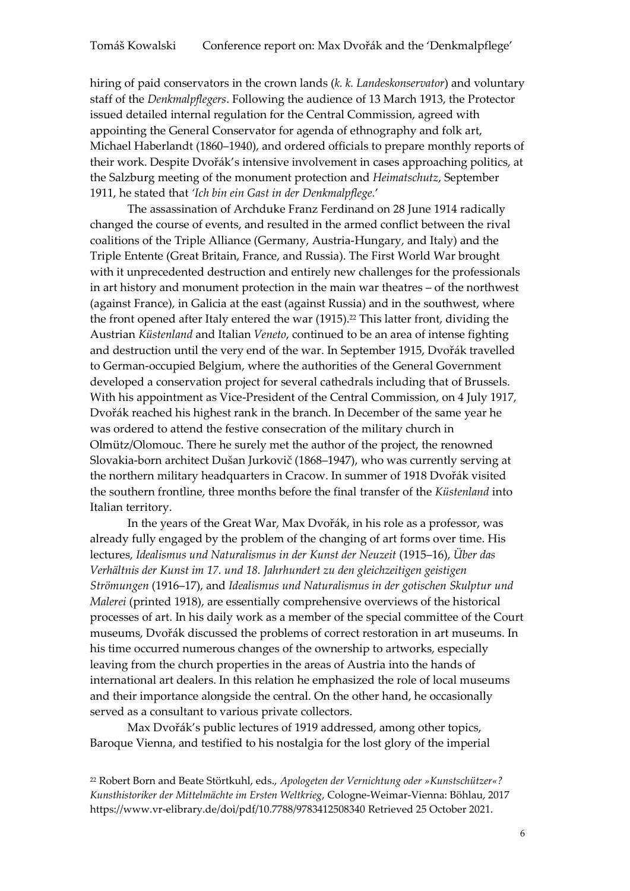hiring of paid conservators in the crown lands (*k. k. Landeskonservator*) and voluntary staff of the *Denkmalpflegers*. Following the audience of 13 March 1913, the Protector issued detailed internal regulation for the Central Commission, agreed with appointing the General Conservator for agenda of ethnography and folk art, Michael Haberlandt (1860–1940), and ordered officials to prepare monthly reports of their work. Despite Dvořák's intensive involvement in cases approaching politics, at the Salzburg meeting of the monument protection and *Heimatschutz*, September 1911, he stated that *'Ich bin ein Gast in der Denkmalpflege.*'

The assassination of Archduke Franz Ferdinand on 28 June 1914 radically changed the course of events, and resulted in the armed conflict between the rival coalitions of the Triple Alliance (Germany, Austria-Hungary, and Italy) and the Triple Entente (Great Britain, France, and Russia). The First World War brought with it unprecedented destruction and entirely new challenges for the professionals in art history and monument protection in the main war theatres – of the northwest (against France), in Galicia at the east (against Russia) and in the southwest, where the front opened after Italy entered the war  $(1915)$ .<sup>22</sup> This latter front, dividing the Austrian *Küstenland* and Italian *Veneto*, continued to be an area of intense fighting and destruction until the very end of the war. In September 1915, Dvořák travelled to German-occupied Belgium, where the authorities of the General Government developed a conservation project for several cathedrals including that of Brussels. With his appointment as Vice-President of the Central Commission, on 4 July 1917, Dvořák reached his highest rank in the branch. In December of the same year he was ordered to attend the festive consecration of the military church in Olmütz/Olomouc. There he surely met the author of the project, the renowned Slovakia-born architect Dušan Jurkovič (1868–1947), who was currently serving at the northern military headquarters in Cracow. In summer of 1918 Dvořák visited the southern frontline, three months before the final transfer of the *Küstenland* into Italian territory.

In the years of the Great War, Max Dvořák, in his role as a professor, was already fully engaged by the problem of the changing of art forms over time. His lectures, *Idealismus und Naturalismus in der Kunst der Neuzeit* (1915–16), *Über das Verhältnis der Kunst im 17. und 18. Jahrhundert zu den gleichzeitigen geistigen Strömungen* (1916–17), and *Idealismus und Naturalismus in der gotischen Skulptur und Malerei* (printed 1918), are essentially comprehensive overviews of the historical processes of art. In his daily work as a member of the special committee of the Court museums, Dvořák discussed the problems of correct restoration in art museums. In his time occurred numerous changes of the ownership to artworks, especially leaving from the church properties in the areas of Austria into the hands of international art dealers. In this relation he emphasized the role of local museums and their importance alongside the central. On the other hand, he occasionally served as a consultant to various private collectors.

Max Dvořák's public lectures of 1919 addressed, among other topics, Baroque Vienna, and testified to his nostalgia for the lost glory of the imperial

<sup>22</sup> Robert Born and Beate Störtkuhl, eds., *Apologeten der Vernichtung oder »Kunstschützer«? Kunsthistoriker der Mittelmächte im Ersten Weltkrieg*, Cologne-Weimar-Vienna: Böhlau, 2017 <https://www.vr-elibrary.de/doi/pdf/10.7788/9783412508340> Retrieved 25 October 2021.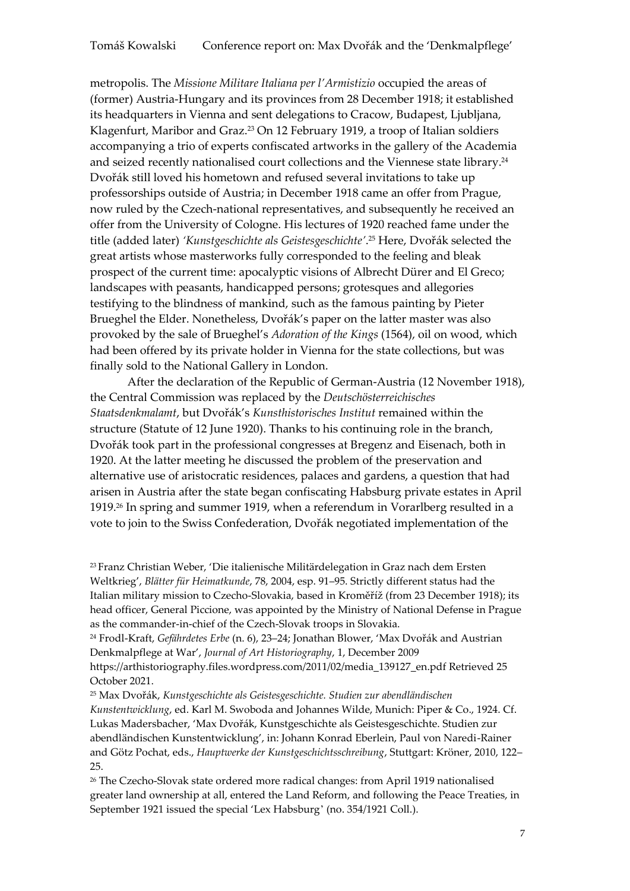metropolis. The *Missione Militare Italiana per l'Armistizio* occupied the areas of (former) Austria-Hungary and its provinces from 28 December 1918; it established its headquarters in Vienna and sent delegations to Cracow, Budapest, Ljubljana, Klagenfurt, Maribor and Graz.<sup>23</sup> On 12 February 1919, a troop of Italian soldiers accompanying a trio of experts confiscated artworks in the gallery of the Academia and seized recently nationalised court collections and the Viennese state library. 24 Dvořák still loved his hometown and refused several invitations to take up professorships outside of Austria; in December 1918 came an offer from Prague, now ruled by the Czech-national representatives, and subsequently he received an offer from the University of Cologne. His lectures of 1920 reached fame under the title (added later) *'Kunstgeschichte als Geistesgeschichte'*. <sup>25</sup> Here, Dvořák selected the great artists whose masterworks fully corresponded to the feeling and bleak prospect of the current time: apocalyptic visions of Albrecht Dürer and El Greco; landscapes with peasants, handicapped persons; grotesques and allegories testifying to the blindness of mankind, such as the famous painting by Pieter Brueghel the Elder. Nonetheless, Dvořák's paper on the latter master was also provoked by the sale of Brueghel's *Adoration of the Kings* (1564), oil on wood, which had been offered by its private holder in Vienna for the state collections, but was finally sold to the National Gallery in London.

After the declaration of the Republic of German-Austria (12 November 1918), the Central Commission was replaced by the *Deutschösterreichisches Staatsdenkmalamt*, but Dvořák's *Kunsthistorisches Institut* remained within the structure (Statute of 12 June 1920). Thanks to his continuing role in the branch, Dvořák took part in the professional congresses at Bregenz and Eisenach, both in 1920. At the latter meeting he discussed the problem of the preservation and alternative use of aristocratic residences, palaces and gardens, a question that had arisen in Austria after the state began confiscating Habsburg private estates in April 1919. <sup>26</sup> In spring and summer 1919, when a referendum in Vorarlberg resulted in a vote to join to the Swiss Confederation, Dvořák negotiated implementation of the

<sup>23</sup> Franz Christian Weber, 'Die italienische Militärdelegation in Graz nach dem Ersten Weltkrieg', *Blätter für Heimatkunde*, 78, 2004, esp. 91–95. Strictly different status had the Italian military mission to Czecho-Slovakia, based in Kroměříž (from 23 December 1918); its head officer, General Piccione, was appointed by the Ministry of National Defense in Prague as the commander-in-chief of the Czech-Slovak troops in Slovakia.

<sup>24</sup> Frodl-Kraft, *Gefährdetes Erbe* (n. 6), 23–24; Jonathan Blower, 'Max Dvořák and Austrian Denkmalpflege at War', *Journal of Art Historiography*, 1, December 2009

https://arthistoriography.files.wordpress.com/2011/02/media\_139127\_en.pdf Retrieved 25 October 2021.

<sup>25</sup> Max Dvořák, *Kunstgeschichte als Geistesgeschichte. Studien zur abendländischen Kunstentwicklung*, ed. Karl M. Swoboda and Johannes Wilde, Munich: Piper & Co., 1924. Cf. Lukas Madersbacher, 'Max Dvořák, Kunstgeschichte als Geistesgeschichte. Studien zur abendländischen Kunstentwicklung', in: Johann Konrad Eberlein, Paul von Naredi-Rainer and Götz Pochat, eds., *Hauptwerke der Kunstgeschichtsschreibung*, Stuttgart: Kröner, 2010, 122– 25.

<sup>26</sup> The Czecho-Slovak state ordered more radical changes: from April 1919 nationalised greater land ownership at all, entered the Land Reform, and following the Peace Treaties, in September 1921 issued the special 'Lex Habsburg' (no. 354/1921 Coll.).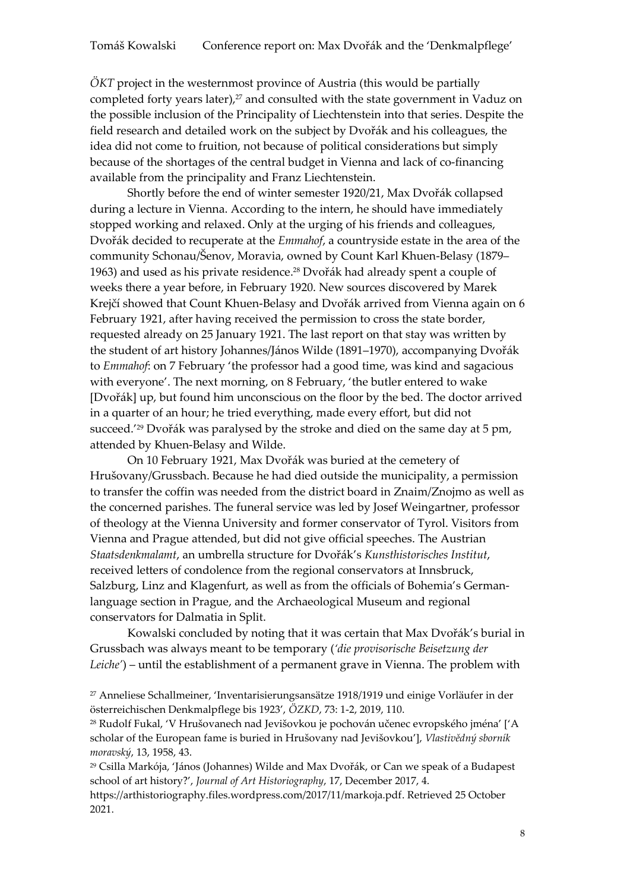*ÖKT* project in the westernmost province of Austria (this would be partially completed forty years later), <sup>27</sup> and consulted with the state government in Vaduz on the possible inclusion of the Principality of Liechtenstein into that series. Despite the field research and detailed work on the subject by Dvořák and his colleagues, the idea did not come to fruition, not because of political considerations but simply because of the shortages of the central budget in Vienna and lack of co-financing available from the principality and Franz Liechtenstein.

Shortly before the end of winter semester 1920/21, Max Dvořák collapsed during a lecture in Vienna. According to the intern, he should have immediately stopped working and relaxed. Only at the urging of his friends and colleagues, Dvořák decided to recuperate at the *Emmahof*, a countryside estate in the area of the community Schonau/Šenov, Moravia, owned by Count Karl Khuen-Belasy (1879– 1963) and used as his private residence. <sup>28</sup> Dvořák had already spent a couple of weeks there a year before, in February 1920. New sources discovered by Marek Krejčí showed that Count Khuen-Belasy and Dvořák arrived from Vienna again on 6 February 1921, after having received the permission to cross the state border, requested already on 25 January 1921. The last report on that stay was written by the student of art history Johannes/János Wilde (1891–1970), accompanying Dvořák to *Emmahof*: on 7 February 'the professor had a good time, was kind and sagacious with everyone'. The next morning, on 8 February, 'the butler entered to wake [Dvořák] up, but found him unconscious on the floor by the bed. The doctor arrived in a quarter of an hour; he tried everything, made every effort, but did not succeed.' <sup>29</sup> Dvořák was paralysed by the stroke and died on the same day at 5 pm, attended by Khuen-Belasy and Wilde.

On 10 February 1921, Max Dvořák was buried at the cemetery of Hrušovany/Grussbach. Because he had died outside the municipality, a permission to transfer the coffin was needed from the district board in Znaim/Znojmo as well as the concerned parishes. The funeral service was led by Josef Weingartner, professor of theology at the Vienna University and former conservator of Tyrol. Visitors from Vienna and Prague attended, but did not give official speeches. The Austrian *Staatsdenkmalamt*, an umbrella structure for Dvořák's *Kunsthistorisches Institut*, received letters of condolence from the regional conservators at Innsbruck, Salzburg, Linz and Klagenfurt, as well as from the officials of Bohemia's Germanlanguage section in Prague, and the Archaeological Museum and regional conservators for Dalmatia in Split.

Kowalski concluded by noting that it was certain that Max Dvořák's burial in Grussbach was always meant to be temporary (*'die provisorische Beisetzung der Leiche'*) – until the establishment of a permanent grave in Vienna. The problem with

<sup>28</sup> Rudolf Fukal, 'V Hrušovanech nad Jevišovkou je pochován učenec evropského jména' ['A scholar of the European fame is buried in Hrušovany nad Jevišovkou'], *Vlastivědný sborník moravský*, 13, 1958, 43.

<sup>29</sup> Csilla Markója, 'János (Johannes) Wilde and Max Dvořák, or Can we speak of a Budapest school of art history?', *Journal of Art Historiography*, 17, December 2017, 4. [https://arthistoriography.files.wordpress.com/2017/11/markoja.pdf.](https://arthistoriography.files.wordpress.com/2017/11/markoja.pdf) Retrieved 25 October 2021.

<sup>27</sup> Anneliese Schallmeiner, 'Inventarisierungsansätze 1918/1919 und einige Vorläufer in der österreichischen Denkmalpflege bis 1923', *ÖZKD*, 73: 1-2, 2019, 110.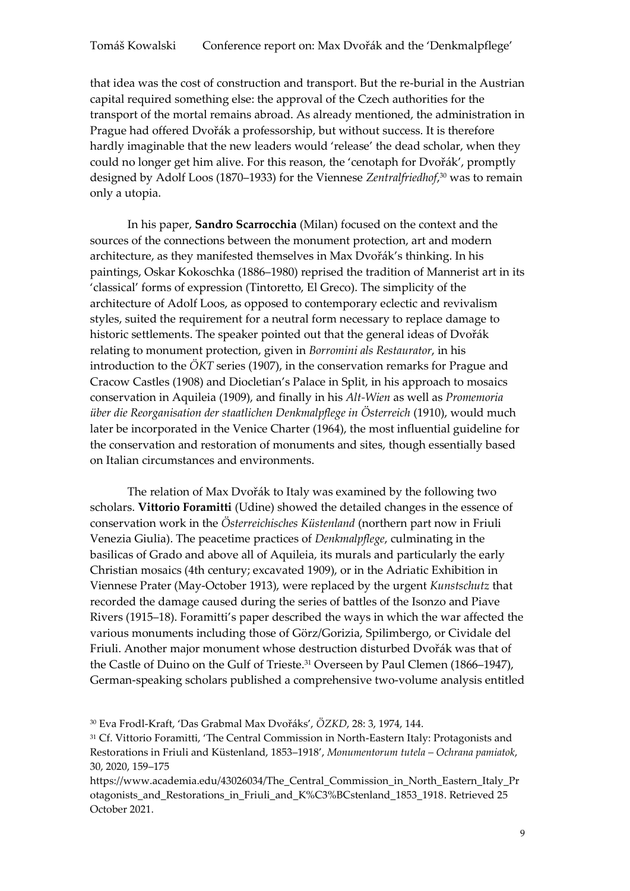that idea was the cost of construction and transport. But the re-burial in the Austrian capital required something else: the approval of the Czech authorities for the transport of the mortal remains abroad. As already mentioned, the administration in Prague had offered Dvořák a professorship, but without success. It is therefore hardly imaginable that the new leaders would 'release' the dead scholar, when they could no longer get him alive. For this reason, the 'cenotaph for Dvořák', promptly designed by Adolf Loos (1870–1933) for the Viennese *Zentralfriedhof*, <sup>30</sup> was to remain only a utopia.

In his paper, **Sandro Scarrocchia** (Milan) focused on the context and the sources of the connections between the monument protection, art and modern architecture, as they manifested themselves in Max Dvořák's thinking. In his paintings, Oskar Kokoschka (1886–1980) reprised the tradition of Mannerist art in its 'classical' forms of expression (Tintoretto, El Greco). The simplicity of the architecture of Adolf Loos, as opposed to contemporary eclectic and revivalism styles, suited the requirement for a neutral form necessary to replace damage to historic settlements. The speaker pointed out that the general ideas of Dvořák relating to monument protection, given in *Borromini als Restaurator*, in his introduction to the *ÖKT* series (1907), in the conservation remarks for Prague and Cracow Castles (1908) and Diocletian's Palace in Split, in his approach to mosaics conservation in Aquileia (1909), and finally in his *Alt-Wien* as well as *Promemoria über die Reorganisation der staatlichen Denkmalpflege in Österreich* (1910), would much later be incorporated in the Venice Charter (1964), the most influential guideline for the conservation and restoration of monuments and sites, though essentially based on Italian circumstances and environments.

The relation of Max Dvořák to Italy was examined by the following two scholars. **Vittorio Foramitti** (Udine) showed the detailed changes in the essence of conservation work in the *Österreichisches Küstenland* (northern part now in Friuli Venezia Giulia). The peacetime practices of *Denkmalpflege*, culminating in the basilicas of Grado and above all of Aquileia, its murals and particularly the early Christian mosaics (4th century; excavated 1909), or in the Adriatic Exhibition in Viennese Prater (May-October 1913), were replaced by the urgent *Kunstschutz* that recorded the damage caused during the series of battles of the Isonzo and Piave Rivers (1915–18). Foramitti's paper described the ways in which the war affected the various monuments including those of Görz/Gorizia, Spilimbergo, or Cividale del Friuli. Another major monument whose destruction disturbed Dvořák was that of the Castle of Duino on the Gulf of Trieste.<sup>31</sup> Overseen by Paul Clemen (1866–1947), German-speaking scholars published a comprehensive two-volume analysis entitled

[https://www.academia.edu/43026034/The\\_Central\\_Commission\\_in\\_North\\_Eastern\\_Italy\\_Pr](https://www.academia.edu/43026034/The_Central_Commission_in_North_Eastern_Italy_Protagonists_and_Restorations_in_Friuli_and_K%C3%BCstenland_1853_1918) otagonists and Restorations in Friuli and K%C3%BCstenland 1853\_1918. Retrieved 25 October 2021.

<sup>30</sup> Eva Frodl-Kraft, 'Das Grabmal Max Dvořáks', *ÖZKD*, 28: 3, 1974, 144.

<sup>31</sup> Cf. Vittorio Foramitti, 'The Central Commission in North-Eastern Italy: Protagonists and Restorations in Friuli and Küstenland, 1853–1918', *Monumentorum tutela – Ochrana pamiatok*, 30, 2020, 159–175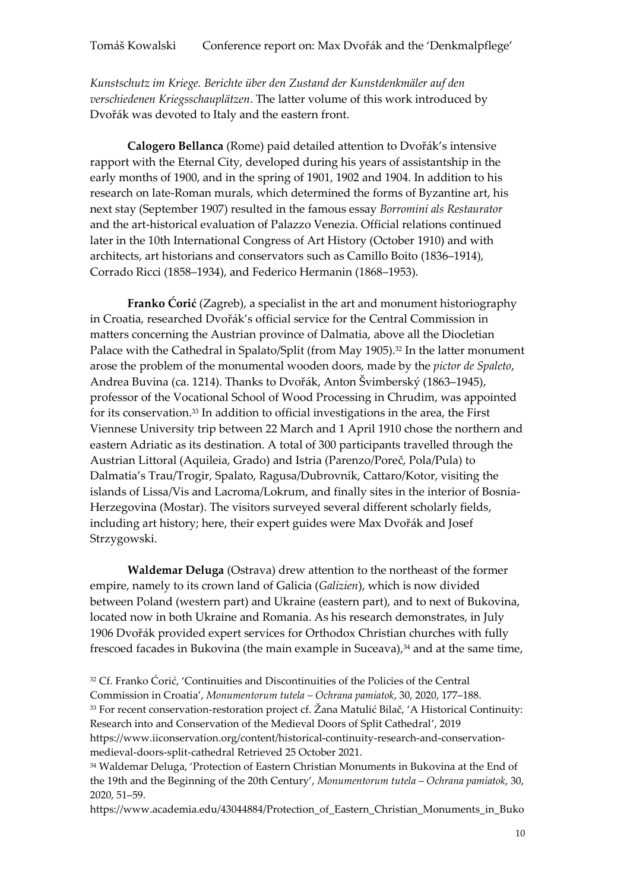*Kunstschutz im Kriege. Berichte über den Zustand der Kunstdenkmäler auf den verschiedenen Kriegsschauplätzen*. The latter volume of this work introduced by Dvořák was devoted to Italy and the eastern front.

**Calogero Bellanca** (Rome) paid detailed attention to Dvořák's intensive rapport with the Eternal City, developed during his years of assistantship in the early months of 1900, and in the spring of 1901, 1902 and 1904. In addition to his research on late-Roman murals, which determined the forms of Byzantine art, his next stay (September 1907) resulted in the famous essay *Borromini als Restaurator* and the art-historical evaluation of Palazzo Venezia. Official relations continued later in the 10th International Congress of Art History (October 1910) and with architects, art historians and conservators such as Camillo Boito (1836–1914), Corrado Ricci (1858–1934), and Federico Hermanin (1868–1953).

**Franko Ćorić** (Zagreb), a specialist in the art and monument historiography in Croatia, researched Dvořák's official service for the Central Commission in matters concerning the Austrian province of Dalmatia, above all the Diocletian Palace with the Cathedral in Spalato/Split (from May 1905). <sup>32</sup> In the latter monument arose the problem of the monumental wooden doors, made by the *pictor de Spaleto*, Andrea Buvina (ca. 1214). Thanks to Dvořák, Anton Švimberský (1863–1945), professor of the Vocational School of Wood Processing in Chrudim, was appointed for its conservation. <sup>33</sup> In addition to official investigations in the area, the First Viennese University trip between 22 March and 1 April 1910 chose the northern and eastern Adriatic as its destination. A total of 300 participants travelled through the Austrian Littoral (Aquileia, Grado) and Istria (Parenzo/Poreč, Pola/Pula) to Dalmatia's Trau/Trogir, Spalato, Ragusa/Dubrovnik, Cattaro/Kotor, visiting the islands of Lissa/Vis and Lacroma/Lokrum, and finally sites in the interior of Bosnia-Herzegovina (Mostar). The visitors surveyed several different scholarly fields, including art history; here, their expert guides were Max Dvořák and Josef Strzygowski.

**Waldemar Deluga** (Ostrava) drew attention to the northeast of the former empire, namely to its crown land of Galicia (*Galizien*), which is now divided between Poland (western part) and Ukraine (eastern part), and to next of Bukovina, located now in both Ukraine and Romania. As his research demonstrates, in July 1906 Dvořák provided expert services for Orthodox Christian churches with fully frescoed facades in Bukovina (the main example in Suceava),<sup>34</sup> and at the same time,

<sup>32</sup> Cf. Franko Ćorić, 'Continuities and Discontinuities of the Policies of the Central Commission in Croatia', *Monumentorum tutela – Ochrana pamiatok*, 30, 2020, 177–188. <sup>33</sup> For recent conservation-restoration project cf. Žana Matulić Bilač, 'A Historical Continuity: Research into and Conservation of the Medieval Doors of Split Cathedral', 2019 https://www.iiconservation.org/content/historical-continuity-research-and-conservationmedieval-doors-split-cathedral Retrieved 25 October 2021.

<sup>34</sup> Waldemar Deluga, 'Protection of Eastern Christian Monuments in Bukovina at the End of the 19th and the Beginning of the 20th Century', *Monumentorum tutela – Ochrana pamiatok*, 30, 2020, 51–59.

[https://www.academia.edu/43044884/Protection\\_of\\_Eastern\\_Christian\\_Monuments\\_in\\_Buko](https://www.academia.edu/43044884/Protection_of_Eastern_Christian_Monuments_in_Bukovina_at_the_End_of_the_19th_and_the_Beginning_of_the_20th_Century_Monumentorum_Tutela_vol_30_Bratislava_2020_pp_51_59)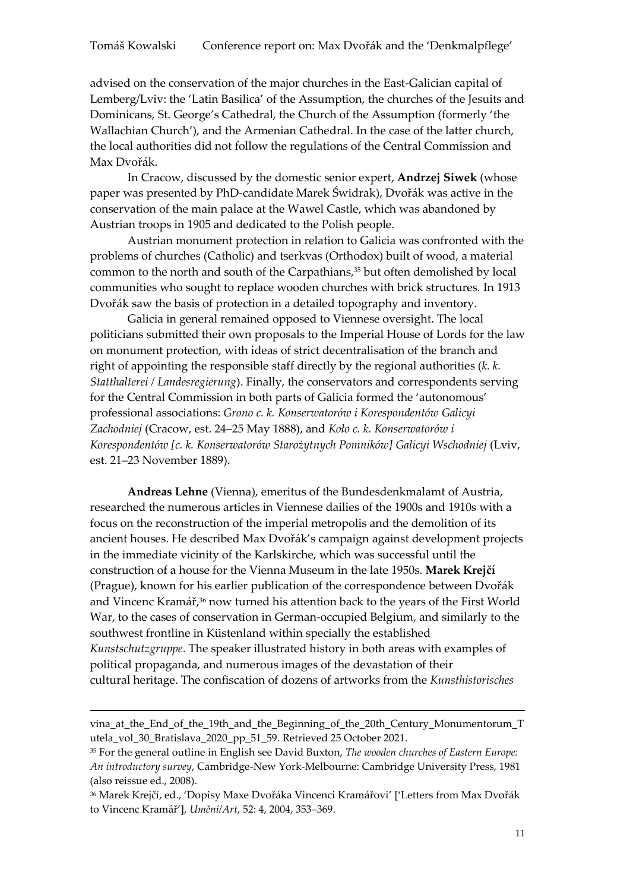advised on the conservation of the major churches in the East-Galician capital of Lemberg/Lviv: the 'Latin Basilica' of the Assumption, the churches of the Jesuits and Dominicans, St. George's Cathedral, the Church of the Assumption (formerly 'the Wallachian Church'), and the Armenian Cathedral. In the case of the latter church, the local authorities did not follow the regulations of the Central Commission and Max Dvořák.

In Cracow, discussed by the domestic senior expert, **Andrzej Siwek** (whose paper was presented by PhD-candidate Marek Świdrak), Dvořák was active in the conservation of the main palace at the Wawel Castle, which was abandoned by Austrian troops in 1905 and dedicated to the Polish people.

Austrian monument protection in relation to Galicia was confronted with the problems of churches (Catholic) and tserkvas (Orthodox) built of wood, a material common to the north and south of the Carpathians,<sup>35</sup> but often demolished by local communities who sought to replace wooden churches with brick structures. In 1913 Dvořák saw the basis of protection in a detailed topography and inventory.

Galicia in general remained opposed to Viennese oversight. The local politicians submitted their own proposals to the Imperial House of Lords for the law on monument protection, with ideas of strict decentralisation of the branch and right of appointing the responsible staff directly by the regional authorities (*k. k. Statthalterei / Landesregierung*). Finally, the conservators and correspondents serving for the Central Commission in both parts of Galicia formed the 'autonomous' professional associations: *Grono c. k. Konserwatorów i Korespondentów Galicyi Zachodniej* (Cracow, est. 24–25 May 1888), and *Koło c. k. Konserwatorów i Korespondentów [c. k. Konserwatorów Starożytnych Pomników] Galicyi Wschodniej* (Lviv, est. 21–23 November 1889).

**Andreas Lehne** (Vienna), emeritus of the Bundesdenkmalamt of Austria, researched the numerous articles in Viennese dailies of the 1900s and 1910s with a focus on the reconstruction of the imperial metropolis and the demolition of its ancient houses. He described Max Dvořák's campaign against development projects in the immediate vicinity of the Karlskirche, which was successful until the construction of a house for the Vienna Museum in the late 1950s. **Marek Krejčí**  (Prague), known for his earlier publication of the correspondence between Dvořák and Vincenc Kramář,<sup>36</sup> now turned his attention back to the years of the First World War, to the cases of conservation in German-occupied Belgium, and similarly to the southwest frontline in Küstenland within specially the established *Kunstschutzgruppe*. The speaker illustrated history in both areas with examples of political propaganda, and numerous images of the devastation of their cultural heritage. The confiscation of dozens of artworks from the *Kunsthistorisches* 

**.** 

vina at the End of the 19th and the Beginning of the 20th Century Monumentorum T utela\_vol\_30\_Bratislava\_2020\_pp\_51\_59. Retrieved 25 October 2021.

<sup>35</sup> For the general outline in English see David Buxton, *The wooden churches of Eastern Europe: An introductory survey*, Cambridge-New York-Melbourne: Cambridge University Press, 1981 (also reissue ed., 2008).

<sup>36</sup> Marek Krejčí, ed., 'Dopisy Maxe Dvořáka Vincenci Kramářovi' ['Letters from Max Dvořák to Vincenc Kramář'], *Umění/Art*, 52: 4, 2004, 353–369.